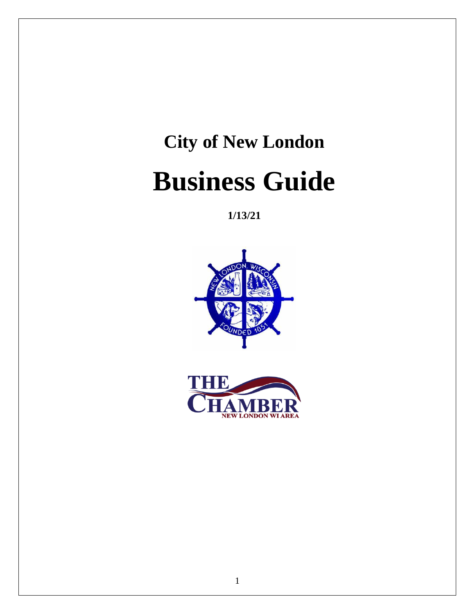# **City of New London Business Guide**

**1/13/21**



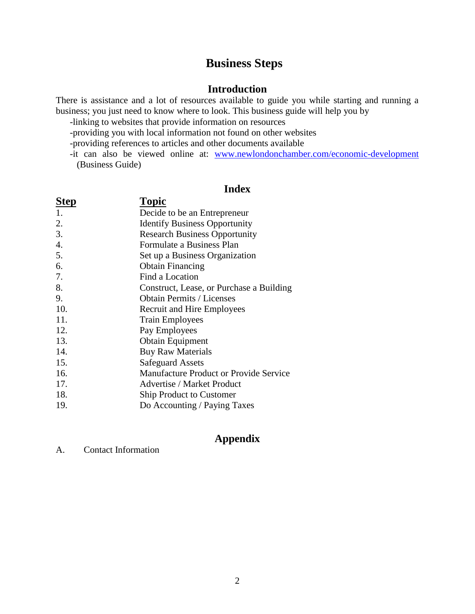## **Business Steps**

#### **Introduction**

There is assistance and a lot of resources available to guide you while starting and running a business; you just need to know where to look. This business guide will help you by

- -linking to websites that provide information on resources
- -providing you with local information not found on other websites
- -providing references to articles and other documents available
- -it can also be viewed online at: [www.newlondonchamber.com/economic-development](http://www.newlondonchamber.com/economic-development) (Business Guide)

### **Index**

| Step             | <b>Topic</b>                                  |
|------------------|-----------------------------------------------|
| 1.               | Decide to be an Entrepreneur                  |
| 2.               | <b>Identify Business Opportunity</b>          |
| 3.               | <b>Research Business Opportunity</b>          |
| $\overline{4}$ . | Formulate a Business Plan                     |
| 5.               | Set up a Business Organization                |
| 6.               | <b>Obtain Financing</b>                       |
| 7.               | Find a Location                               |
| 8.               | Construct, Lease, or Purchase a Building      |
| 9.               | <b>Obtain Permits / Licenses</b>              |
| 10.              | <b>Recruit and Hire Employees</b>             |
| 11.              | <b>Train Employees</b>                        |
| 12.              | Pay Employees                                 |
| 13.              | <b>Obtain Equipment</b>                       |
| 14.              | <b>Buy Raw Materials</b>                      |
| 15.              | <b>Safeguard Assets</b>                       |
| 16.              | <b>Manufacture Product or Provide Service</b> |
| 17.              | <b>Advertise / Market Product</b>             |
| 18.              | <b>Ship Product to Customer</b>               |

19. Do Accounting / Paying Taxes

## **Appendix**

A. Contact Information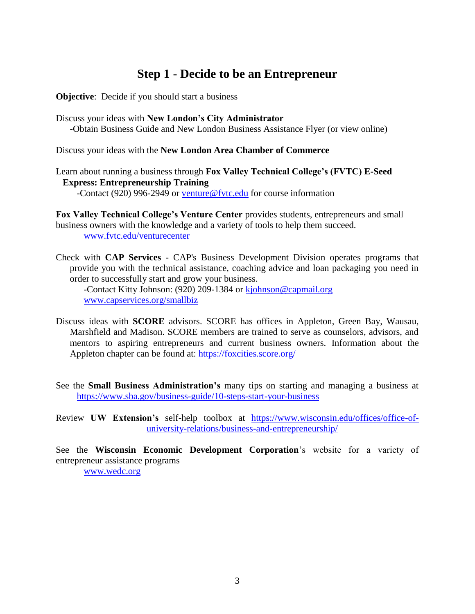## **Step 1 - Decide to be an Entrepreneur**

**Objective**: Decide if you should start a business

Discuss your ideas with **New London's City Administrator**  -Obtain Business Guide and New London Business Assistance Flyer (or view online)

Discuss your ideas with the **New London Area Chamber of Commerce**

Learn about running a business through **Fox Valley Technical College's (FVTC) E-Seed Express: Entrepreneurship Training**

-Contact (920) 996-2949 or [venture@fvtc.edu](mailto:venture@fvtc.edu) for course information

**Fox Valley Technical College's Venture Center** provides students, entrepreneurs and small business owners with the knowledge and a variety of tools to help them succeed. [www.fvtc.edu/venturecenter](http://www.fvtc.edu/venturecenter)

Check with **CAP Services** - CAP's Business Development Division operates programs that provide you with the technical assistance, coaching advice and loan packaging you need in order to successfully start and grow your business.

-Contact Kitty Johnson: (920) 209-1384 or [kjohnson@capmail.org](mailto:kjohnson@capmail.org) [www.capservices.org/smallbiz](http://www.capservices.org/smallbiz/)

- Discuss ideas with **SCORE** advisors. SCORE has offices in Appleton, Green Bay, Wausau, Marshfield and Madison. SCORE members are trained to serve as counselors, advisors, and mentors to aspiring entrepreneurs and current business owners. Information about the Appleton chapter can be found at:<https://foxcities.score.org/>
- See the **Small Business Administration's** many tips on starting and managing a business at <https://www.sba.gov/business-guide/10-steps-start-your-business>

Review **UW Extension's** self-help toolbox at [https://www.wisconsin.edu/offices/office-of](https://www.wisconsin.edu/offices/office-of-university-relations/business-and-entrepreneurship/)[university-relations/business-and-entrepreneurship/](https://www.wisconsin.edu/offices/office-of-university-relations/business-and-entrepreneurship/)

See the **Wisconsin Economic Development Corporation**'s website for a variety of entrepreneur assistance programs [www.wedc.org](http://www.wedc.org/)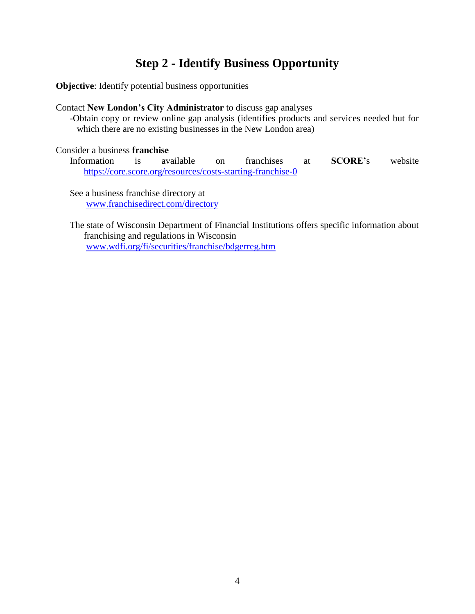## **Step 2 - Identify Business Opportunity**

**Objective**: Identify potential business opportunities

#### Contact **New London's City Administrator** to discuss gap analyses

-Obtain copy or review online gap analysis (identifies products and services needed but for which there are no existing businesses in the New London area)

#### Consider a business **franchise**

Information is available on franchises at **SCORE'**s website <https://core.score.org/resources/costs-starting-franchise-0>

See a business franchise directory at [www.franchisedirect.com/directory](http://www.franchisedirect.com/directory)

The state of Wisconsin Department of Financial Institutions offers specific information about franchising and regulations in Wisconsin [www.wdfi.org/fi/securities/franchise/bdgerreg.htm](http://www.wdfi.org/fi/securities/franchise/bdgerreg.htm)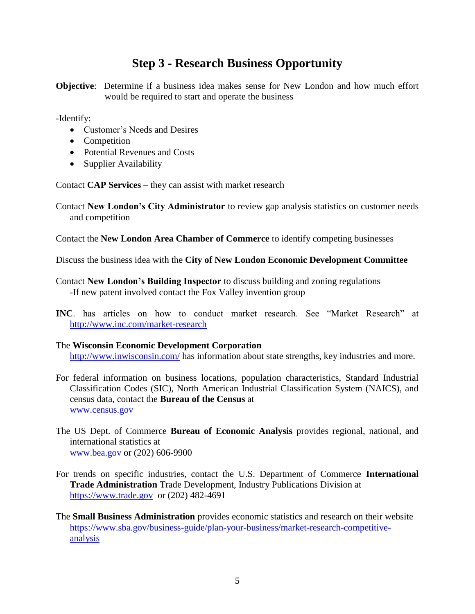## **Step 3 - Research Business Opportunity**

**Objective**: Determine if a business idea makes sense for New London and how much effort would be required to start and operate the business

-Identify:

- Customer's Needs and Desires
- Competition
- Potential Revenues and Costs
- Supplier Availability

Contact **CAP Services** – they can assist with market research

Contact **New London's City Administrator** to review gap analysis statistics on customer needs and competition

Contact the **New London Area Chamber of Commerce** to identify competing businesses

Discuss the business idea with the **City of New London Economic Development Committee**

Contact **New London's Building Inspector** to discuss building and zoning regulations -If new patent involved contact the Fox Valley invention group

**INC**. has articles on how to conduct market research. See "Market Research" at <http://www.inc.com/market-research>

#### The **Wisconsin Economic Development Corporation**

<http://www.inwisconsin.com/> has information about state strengths, key industries and more.

- For federal information on business locations, population characteristics, Standard Industrial Classification Codes (SIC), North American Industrial Classification System (NAICS), and census data, contact the **Bureau of the Census** at [www.census.gov](http://www.census.gov/)
- The US Dept. of Commerce **Bureau of Economic Analysis** provides regional, national, and international statistics at [www.bea.gov](http://www.bea.gov/) or (202) 606-9900
- For trends on specific industries, contact the U.S. Department of Commerce **International Trade Administration** Trade Development, Industry Publications Division at [https://www.trade.gov](https://www.trade.gov/) or (202) 482-4691
- The **Small Business Administration** provides economic statistics and research on their website [https://www.sba.gov/business-guide/plan-your-business/market-research-competitive](https://www.sba.gov/business-guide/plan-your-business/market-research-competitive-analysis)[analysis](https://www.sba.gov/business-guide/plan-your-business/market-research-competitive-analysis)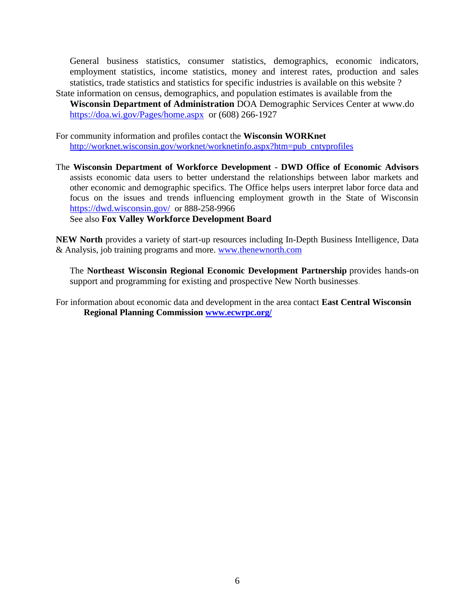General business statistics, consumer statistics, demographics, economic indicators, employment statistics, income statistics, money and interest rates, production and sales statistics, trade statistics and statistics for specific industries is available on this website ? State information on census, demographics, and population estimates is available from the

**Wisconsin Department of Administration** DOA Demographic Services Center at www.do <https://doa.wi.gov/Pages/home.aspx>or (608) 266-1927

For community information and profiles contact the **Wisconsin WORKnet** [http://worknet.wisconsin.gov/worknet/worknetinfo.aspx?htm=pub\\_cntyprofiles](http://worknet.wisconsin.gov/worknet/worknetinfo.aspx?htm=pub_cntyprofiles)

The **Wisconsin Department of Workforce Development - DWD Office of Economic Advisors** assists economic data users to better understand the relationships between labor markets and other economic and demographic specifics. The Office helps users interpret labor force data and focus on the issues and trends influencing employment growth in the State of Wisconsin <https://dwd.wisconsin.gov/> or 888-258-9966

See also **Fox Valley Workforce Development Board**

**NEW North** provides a variety of start-up resources including In-Depth Business Intelligence, Data & Analysis, job training programs and more. [www.thenewnorth.com](http://www.thenewnorth.com/)

The **Northeast Wisconsin Regional Economic Development Partnership** provides hands-on support and programming for existing and prospective New North businesses.

For information about economic data and development in the area contact **East Central Wisconsin Regional Planning Commission [www.ecwrpc.org/](http://www.ecwrpc.org/)**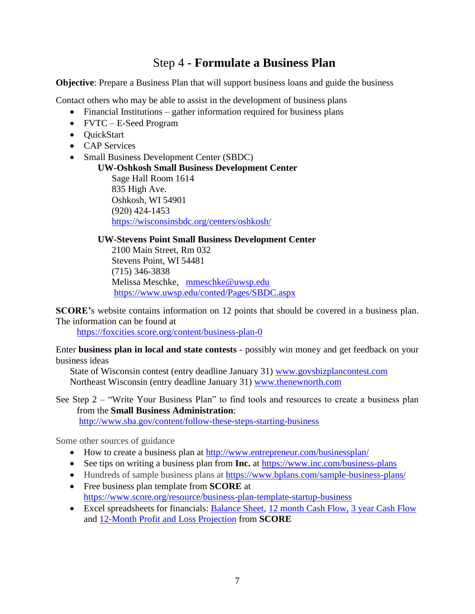## Step 4 **- Formulate a Business Plan**

**Objective**: Prepare a Business Plan that will support business loans and guide the business

Contact others who may be able to assist in the development of business plans

- Financial Institutions gather information required for business plans
- FVTC E-Seed Program
- QuickStart
- CAP Services
- Small Business Development Center (SBDC)

**UW-Oshkosh Small Business Development Center** Sage Hall Room 1614 835 High Ave. Oshkosh, WI 54901 (920) 424-1453 <https://wisconsinsbdc.org/centers/oshkosh/>

#### **UW-Stevens Point Small Business Development Center**

2100 Main Street, Rm 032 Stevens Point, WI 54481 (715) 346-3838 Melissa Meschke, [mmeschke@uwsp.edu](mailto:mmeschke@uwsp.edu) <https://www.uwsp.edu/conted/Pages/SBDC.aspx>

**SCORE'**s website contains information on 12 points that should be covered in a business plan. The information can be found at

<https://foxcities.score.org/content/business-plan-0>

Enter **business plan in local and state contests** - possibly win money and get feedback on your business ideas

State of Wisconsin contest (entry deadline January 31) [www.govsbizplancontest.com](http://www.govsbizplancontest.com/) Northeast Wisconsin (entry deadline January 31) [www.thenewnorth.com](http://www.thenewnorth.com/)

See Step 2 – "Write Your Business Plan" to find tools and resources to create a business plan from the **Small Business Administration**:

<http://www.sba.gov/content/follow-these-steps-starting-business>

Some other sources of guidance

- How to create a business plan at<http://www.entrepreneur.com/businessplan/>
- See tips on writing a business plan from **Inc.** at<https://www.inc.com/business-plans>
- Hundreds of sample business plans at<https://www.bplans.com/sample-business-plans/>
- Free business plan template from **SCORE** at <https://www.score.org/resource/business-plan-template-startup-business>
- Excel spreadsheets for financials: [Balance Sheet,](https://foxcities.score.org/resource/balance-sheet-template) [12 month Cash Flow,](https://www.score.org/resource/12-month-cash-flow-statement) 3 [year Cash Flow](https://www.score.org/resource/3-year-cash-flow-statement) and [12-Month Profit](https://www.score.org/resource/12-month-profit-and-loss-projection) and Loss Projection from **SCORE**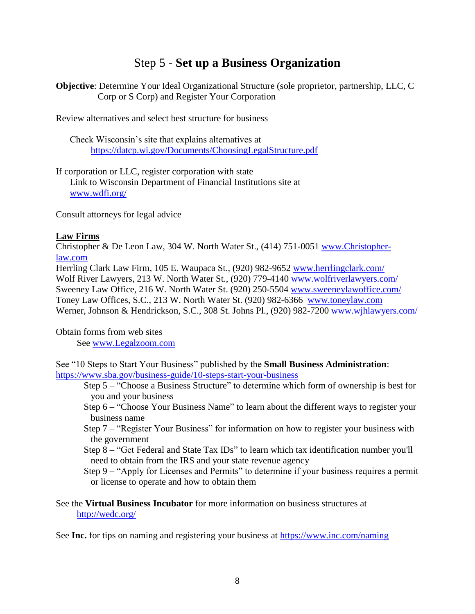## Step 5 - **Set up a Business Organization**

**Objective**: Determine Your Ideal Organizational Structure (sole proprietor, partnership, LLC, C Corp or S Corp) and Register Your Corporation

Review alternatives and select best structure for business

Check Wisconsin's site that explains alternatives at <https://datcp.wi.gov/Documents/ChoosingLegalStructure.pdf>

If corporation or LLC, register corporation with state

Link to Wisconsin Department of Financial Institutions site at [www.wdfi.org/](http://www.wdfi.org/)

Consult attorneys for legal advice

#### **Law Firms**

Christopher & De Leon Law, 304 W. North Water St., (414) 751-0051 [www.Christopher](www.Christopher-law.com)[law.com](www.Christopher-law.com)

Herrling Clark Law Firm, 105 E. Waupaca St., (920) 982-9652 [www.herrlingclark.com/](http://www.herrlingclark.com/) Wolf River Lawyers, 213 W. North Water St., (920) 779-4140 [www.wolfriverlawyers.com/](http://www.wolfriverlawyers.com/) Sweeney Law Office, 216 W. North Water St. (920) 250-5504 [www.sweeneylawoffice.com/](http://www.sweeneylawoffice.com/) Toney Law Offices, S.C., 213 W. North Water St. (920) 982-6366 [www.toneylaw.com](http://www.toneylaw.com/) Werner, Johnson & Hendrickson, S.C., 308 St. Johns Pl., (920) 982-7200 [www.wjhlawyers.com/](http://www.wjhlawyers.com/)

Obtain forms from web sites

See [www.Legalzoom.com](http://www.legalzoom.com/)

See "10 Steps to Start Your Business" published by the **Small Business Administration**: <https://www.sba.gov/business-guide/10-steps-start-your-business>

- Step 5 "Choose a Business Structure" to determine which form of ownership is best for you and your business
- Step 6 "Choose Your Business Name" to learn about the different ways to register your business name
- Step 7 "Register Your Business" for information on how to register your business with the government
- Step 8 "Get Federal and State Tax IDs" to learn which tax identification number you'll need to obtain from the IRS and your state revenue agency
- Step 9 "Apply for Licenses and Permits" to determine if your business requires a permit or license to operate and how to obtain them

See the **Virtual Business Incubator** for more information on business structures at [http://wedc.org/](https://wedc.org/blog/incubators-play-crucial-role-in-earliest-stage-of-business-startup/)

See **Inc.** for tips on naming and registering your business at <https://www.inc.com/naming>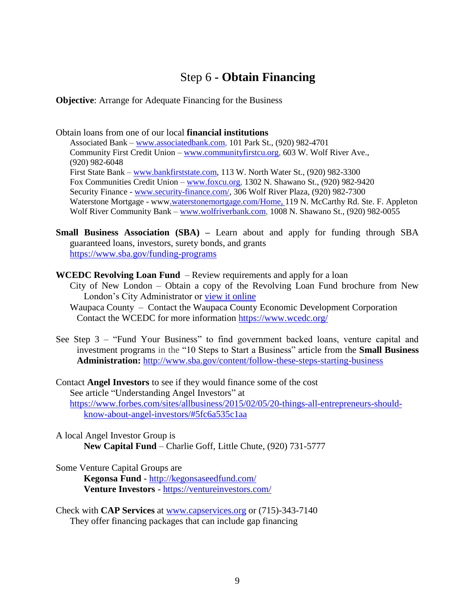## Step 6 **- Obtain Financing**

**Objective**: Arrange for Adequate Financing for the Business

Obtain loans from one of our local **financial institutions** Associated Bank – [www.associatedbank.com,](http://www.associatedbank.com/) 101 Park St., (920) 982-4701 Community First Credit Union – [www.communityfirstcu.org,](http://www.communityfirstcu.org/) 603 W. Wolf River Ave., (920) 982-6048 First State Bank – [www.bankfirststate.com,](http://www.bankfirststate.com/) 113 W. North Water St., (920) 982-3300 Fox Communities Credit Union – [www.foxcu.org,](http://www.foxcu.org/) 1302 N. Shawano St., (920) 982-9420 Security Finance - [www.security-finance.com/,](http://www.security-finance.com/) 306 Wolf River Plaza, (920) 982-7300 Waterstone Mortgage - ww[w.waterstonemortgage.com/Home,](https://waterstonemortgage.com/Home) 119 N. McCarthy Rd. Ste. F. Appleton Wolf River Community Bank – [www.wolfriverbank.com,](http://www.wolfriverbank.com/) 1008 N. Shawano St., (920) 982-0055

- **Small Business Association (SBA) –** Learn about and apply for funding through SBA guaranteed loans, investors, surety bonds, and grants <https://www.sba.gov/funding-programs>
- **WCEDC Revolving Loan Fund** Review requirements and apply for a loan
	- City of New London Obtain a copy of the Revolving Loan Fund brochure from New London's City Administrator or [view it online](http://www.newlondonwi.org/EconomicDevelopment/Business_flyer_RLF_083004.pdf)
	- Waupaca County Contact the Waupaca County Economic Development Corporation Contact the WCEDC for more information<https://www.wcedc.org/>
- See Step 3 "Fund Your Business" to find government backed loans, venture capital and investment programs in the "10 Steps to Start a Business" article from the **Small Business Administration:** <http://www.sba.gov/content/follow-these-steps-starting-business>

Contact **Angel Investors** to see if they would finance some of the cost See article "Understanding Angel Investors" at [https://www.forbes.com/sites/allbusiness/2015/02/05/20-things-all-entrepreneurs-should](https://www.forbes.com/sites/allbusiness/2015/02/05/20-things-all-entrepreneurs-should-know-about-angel-investors/#5fc6a535c1aa)[know-about-angel-investors/#5fc6a535c1aa](https://www.forbes.com/sites/allbusiness/2015/02/05/20-things-all-entrepreneurs-should-know-about-angel-investors/#5fc6a535c1aa)

A local Angel Investor Group is **New Capital Fund** – Charlie Goff, Little Chute, (920) 731-5777

Some Venture Capital Groups are

**Kegonsa Fund** - <http://kegonsaseedfund.com/> **Venture Investors** - <https://ventureinvestors.com/>

Check with **CAP Services** at [www.capservices.org](http://www.capservices.org/) or (715)-343-7140 They offer financing packages that can include gap financing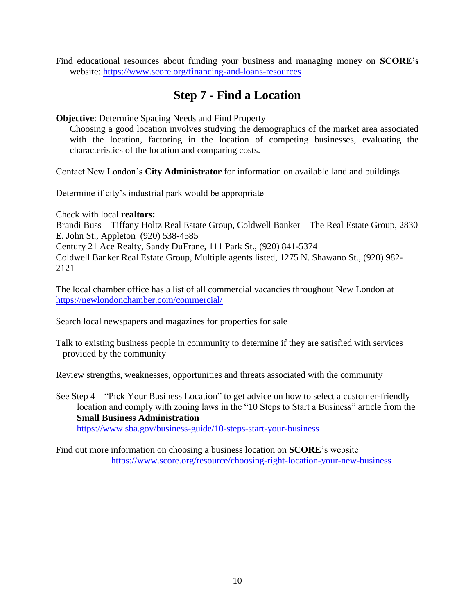Find educational resources about funding your business and managing money on **SCORE's** website:<https://www.score.org/financing-and-loans-resources>

## **Step 7 - Find a Location**

#### **Objective**: Determine Spacing Needs and Find Property

Choosing a good location involves studying the demographics of the market area associated with the location, factoring in the location of competing businesses, evaluating the characteristics of the location and comparing costs.

Contact New London's **City Administrator** for information on available land and buildings

Determine if city's industrial park would be appropriate

Check with local **realtors:** Brandi Buss – Tiffany Holtz Real Estate Group, Coldwell Banker – The Real Estate Group, 2830 E. John St., Appleton (920) 538-4585 Century 21 Ace Realty, Sandy DuFrane, 111 Park St., (920) 841-5374 Coldwell Banker Real Estate Group, Multiple agents listed, 1275 N. Shawano St., (920) 982- 2121

The local chamber office has a list of all commercial vacancies throughout New London at <https://newlondonchamber.com/commercial/>

Search local newspapers and magazines for properties for sale

Talk to existing business people in community to determine if they are satisfied with services provided by the community

Review strengths, weaknesses, opportunities and threats associated with the community

See Step 4 – "Pick Your Business Location" to get advice on how to select a customer-friendly location and comply with zoning laws in the "10 Steps to Start a Business" article from the **Small Business Administration**

<https://www.sba.gov/business-guide/10-steps-start-your-business>

Find out more information on choosing a business location on **SCORE**'s website <https://www.score.org/resource/choosing-right-location-your-new-business>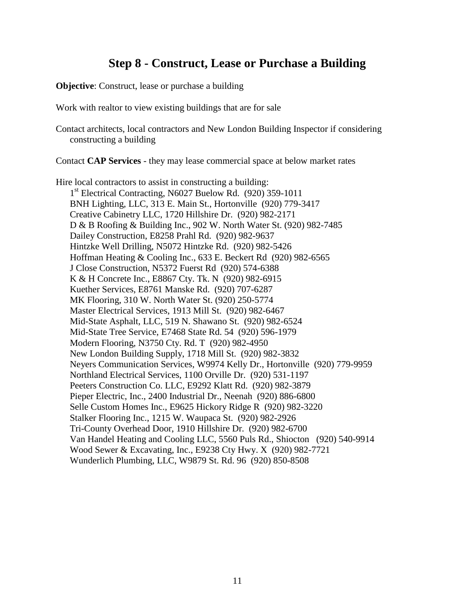## **Step 8 - Construct, Lease or Purchase a Building**

**Objective:** Construct, lease or purchase a building

Work with realtor to view existing buildings that are for sale

Contact architects, local contractors and New London Building Inspector if considering constructing a building

Contact **CAP Services** - they may lease commercial space at below market rates

Hire local contractors to assist in constructing a building: 1<sup>st</sup> Electrical Contracting, N6027 Buelow Rd. (920) 359-1011 BNH Lighting, LLC, 313 E. Main St., Hortonville (920) 779-3417 Creative Cabinetry LLC, 1720 Hillshire Dr. (920) 982-2171 [D & B Roofing & Building Inc.](http://maps.google.com/maps/place?hl=en&um=1&ie=UTF-8&q=contractors+in+New+London+wi&fb=1&gl=us&hq=contractors&hnear=New+London+wi&cid=4580546426999293421), 902 W. North Water St. (920) 982-7485 Dailey Construction, E8258 Prahl Rd. (920) 982-9637 Hintzke Well Drilling, N5072 Hintzke Rd. (920) 982-5426 [Hoffman Heating & Cooling Inc.](http://www.hoffmanheating.com/), 633 E. Beckert Rd (920) 982-6565 J Close Construction, N5372 Fuerst Rd (920) 574-6388 K & H Concrete Inc., E8867 Cty. Tk. N (920) 982-6915 Kuether Services, E8761 Manske Rd. (920) 707-6287 MK Flooring, 310 W. North Water St. (920) 250-5774 [Master Electrical Services,](http://maps.google.com/maps/place?hl=en&um=1&ie=UTF-8&q=contractors+in+New+London+wi&fb=1&gl=us&hq=contractors&hnear=New+London+wi&cid=10477256436256065740) 1913 Mill St. (920) 982-6467 Mid-State Asphalt, LLC, 519 N. Shawano St. (920) 982-6524 Mid-State Tree Service, E7468 State Rd. 54 (920) 596-1979 Modern Flooring, N3750 Cty. Rd. T (920) 982-4950 New London Building Supply, 1718 Mill St. (920) 982-3832 Neyers Communication Services, W9974 Kelly Dr., Hortonville (920) 779-9959 Northland Electrical Services, 1100 Orville Dr. (920) 531-1197 Peeters Construction Co. LLC, E9292 Klatt Rd. (920) 982-3879 Pieper Electric, Inc., 2400 Industrial Dr., Neenah (920) 886-6800 Selle Custom Homes Inc., E9625 Hickory Ridge R (920) 982-3220 Stalker Flooring Inc., 1215 W. Waupaca St. (920) 982-2926 Tri-County Overhead Door, 1910 Hillshire Dr. (920) 982-6700 Van Handel Heating and Cooling LLC, 5560 Puls Rd., Shiocton (920) 540-9914 Wood Sewer & Excavating, Inc., E9238 Cty Hwy. X (920) 982-7721 Wunderlich Plumbing, LLC, W9879 St. Rd. 96 (920) 850-8508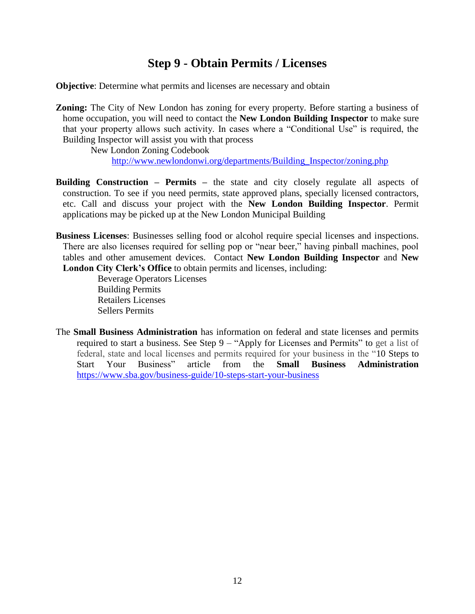## **Step 9 - Obtain Permits / Licenses**

**Objective**: Determine what permits and licenses are necessary and obtain

**Zoning:** The City of New London has zoning for every property. Before starting a business of home occupation, you will need to contact the **New London Building Inspector** to make sure that your property allows such activity. In cases where a "Conditional Use" is required, the Building Inspector will assist you with that process

New London Zoning Codebook

[http://www.newlondonwi.org/departments/Building\\_Inspector/zoning.php](http://www.newlondonwi.org/departments/Building_Inspector/zoning.php)

- **Building Construction – Permits –** the state and city closely regulate all aspects of construction. To see if you need permits, state approved plans, specially licensed contractors, etc. Call and discuss your project with the **New London Building Inspector**. Permit applications may be picked up at the New London Municipal Building
- **Business Licenses**: Businesses selling food or alcohol require special licenses and inspections. There are also licenses required for selling pop or "near beer," having pinball machines, pool tables and other amusement devices. Contact **New London Building Inspector** and **New London City Clerk's Office** to obtain permits and licenses, including:

Beverage Operators Licenses Building Permits Retailers Licenses Sellers Permits

The **Small Business Administration** has information on federal and state licenses and permits required to start a business. See Step 9 – "Apply for Licenses and Permits" to get a list of federal, state and local licenses and permits required for your business in the "10 Steps to Start Your Business" article from the **Small Business Administration** <https://www.sba.gov/business-guide/10-steps-start-your-business>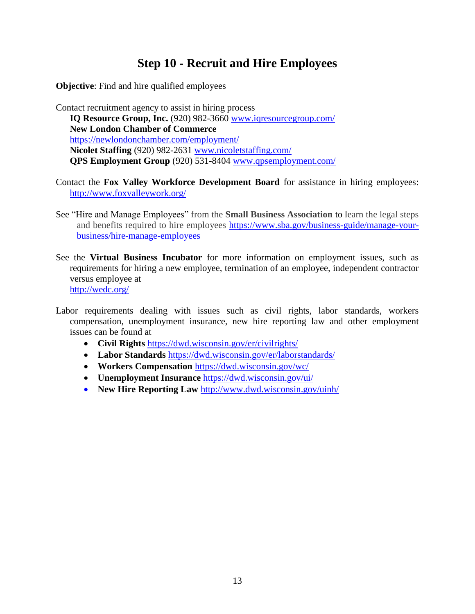## **Step 10 - Recruit and Hire Employees**

**Objective**: Find and hire qualified employees

Contact recruitment agency to assist in hiring process **IQ Resource Group, Inc.** (920) 982-3660 [www.iqresourcegroup.com/](http://www.iqresourcegroup.com/) **New London Chamber of Commerce** <https://newlondonchamber.com/employment/> **Nicolet Staffing** (920) 982-2631 [www.nicoletstaffing.com/](http://www.nicoletstaffing.com/) **QPS Employment Group** (920) 531-8404 [www.qpsemployment.com/](http://www.qpsemployment.com/)

- Contact the **Fox Valley Workforce Development Board** for assistance in hiring employees: <http://www.foxvalleywork.org/>
- See "Hire and Manage Employees" from the **Small Business Association** to learn the legal steps and benefits required to hire employees [https://www.sba.gov/business-guide/manage-your](https://www.sba.gov/business-guide/manage-your-business/hire-manage-employees)[business/hire-manage-employees](https://www.sba.gov/business-guide/manage-your-business/hire-manage-employees)
- See the **Virtual Business Incubator** for more information on employment issues, such as requirements for hiring a new employee, termination of an employee, independent contractor versus employee at <http://wedc.org/>
- Labor requirements dealing with issues such as civil rights, labor standards, workers compensation, unemployment insurance, new hire reporting law and other employment issues can be found at
	- **Civil Rights** <https://dwd.wisconsin.gov/er/civilrights/>
	- **Labor Standards** <https://dwd.wisconsin.gov/er/laborstandards/>
	- **Workers Compensation** <https://dwd.wisconsin.gov/wc/>
	- **Unemployment Insurance** <https://dwd.wisconsin.gov/ui/>
	- **New Hire Reporting Law** [http://www.dwd.wisconsin.gov/uinh/](https://dwd.wisconsin.gov/uinh/)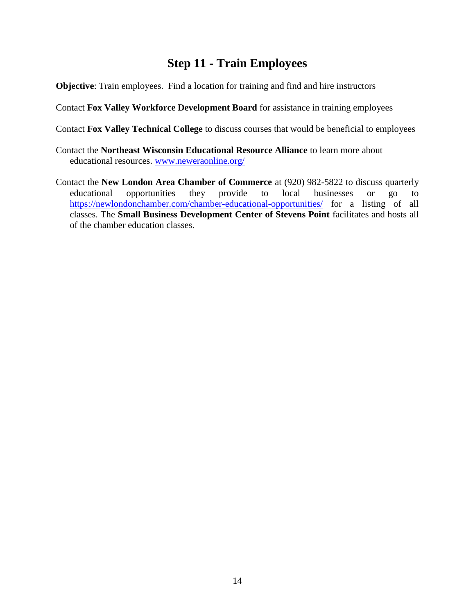## **Step 11 - Train Employees**

**Objective**: Train employees. Find a location for training and find and hire instructors

Contact **Fox Valley Workforce Development Board** for assistance in training employees

Contact **Fox Valley Technical College** to discuss courses that would be beneficial to employees

- Contact the **Northeast Wisconsin Educational Resource Alliance** to learn more about educational resources. [www.neweraonline.org/](http://www.neweraonline.org/)
- Contact the **New London Area Chamber of Commerce** at (920) 982-5822 to discuss quarterly educational opportunities they provide to local businesses or go to <https://newlondonchamber.com/chamber-educational-opportunities/> for a listing of all classes. The **Small Business Development Center of Stevens Point** facilitates and hosts all of the chamber education classes.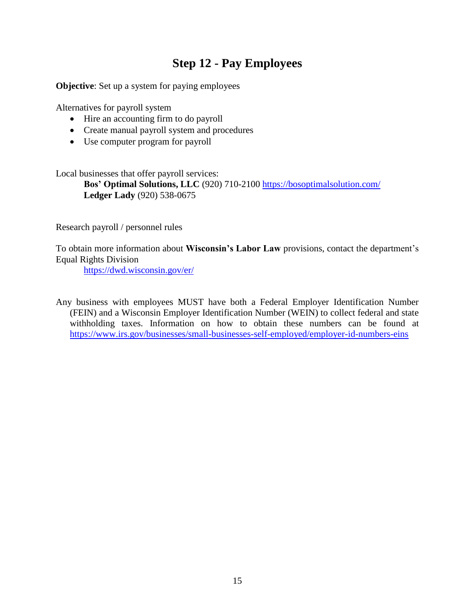## **Step 12 - Pay Employees**

**Objective**: Set up a system for paying employees

Alternatives for payroll system

- Hire an accounting firm to do payroll
- Create manual payroll system and procedures
- Use computer program for payroll

Local businesses that offer payroll services:

**Bos' Optimal Solutions, LLC** (920) 710-2100<https://bosoptimalsolution.com/> **Ledger Lady** (920) 538-0675

Research payroll / personnel rules

To obtain more information about **Wisconsin's Labor Law** provisions, contact the department's Equal Rights Division

<https://dwd.wisconsin.gov/er/>

Any business with employees MUST have both a Federal Employer Identification Number (FEIN) and a Wisconsin Employer Identification Number (WEIN) to collect federal and state withholding taxes. Information on how to obtain these numbers can be found at <https://www.irs.gov/businesses/small-businesses-self-employed/employer-id-numbers-eins>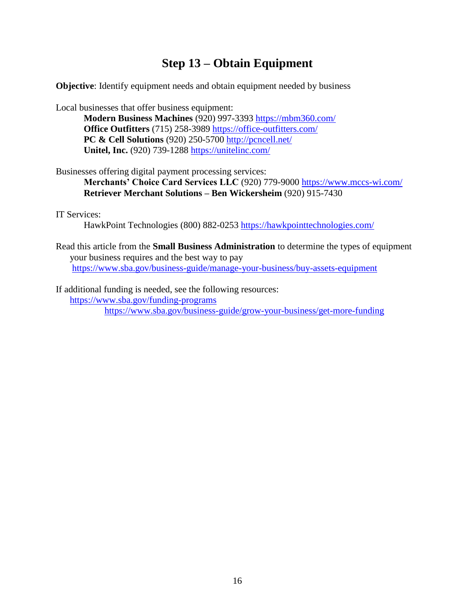## **Step 13 – Obtain Equipment**

**Objective**: Identify equipment needs and obtain equipment needed by business

Local businesses that offer business equipment:

**Modern Business Machines** (920) 997-3393<https://mbm360.com/> **Office Outfitters** (715) 258-3989<https://office-outfitters.com/> **PC & Cell Solutions** (920) 250-5700<http://pcncell.net/> **Unitel, Inc.** (920) 739-1288<https://unitelinc.com/>

Businesses offering digital payment processing services:

**Merchants' Choice Card Services LLC** (920) 779-9000<https://www.mccs-wi.com/> **Retriever Merchant Solutions – Ben Wickersheim** (920) 915-7430

IT Services:

HawkPoint Technologies (800) 882-0253<https://hawkpointtechnologies.com/>

Read this article from the **Small Business Administration** to determine the types of equipment your business requires and the best way to pay <https://www.sba.gov/business-guide/manage-your-business/buy-assets-equipment>

If additional funding is needed, see the following resources: <https://www.sba.gov/funding-programs> <https://www.sba.gov/business-guide/grow-your-business/get-more-funding>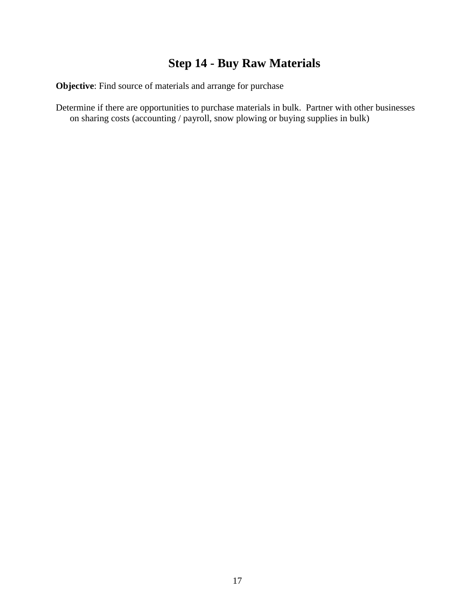## **Step 14 - Buy Raw Materials**

**Objective**: Find source of materials and arrange for purchase

Determine if there are opportunities to purchase materials in bulk. Partner with other businesses on sharing costs (accounting / payroll, snow plowing or buying supplies in bulk)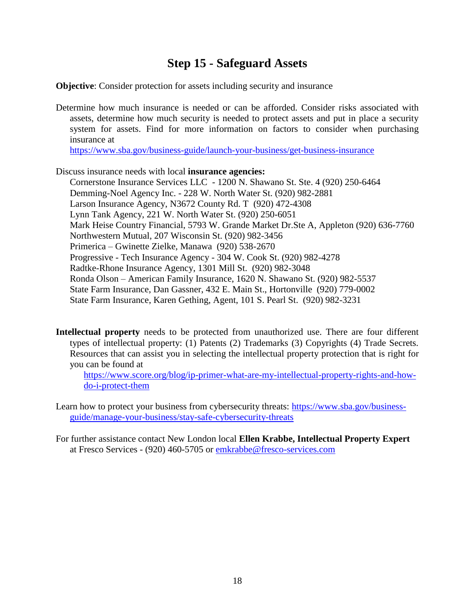## **Step 15 - Safeguard Assets**

**Objective**: Consider protection for assets including security and insurance

Determine how much insurance is needed or can be afforded. Consider risks associated with assets, determine how much security is needed to protect assets and put in place a security system for assets. Find for more information on factors to consider when purchasing insurance at

<https://www.sba.gov/business-guide/launch-your-business/get-business-insurance>

Discuss insurance needs with local **insurance agencies:**

Cornerstone Insurance Services LLC - 1200 N. Shawano St. Ste. 4 (920) 250-6464 Demming-Noel Agency Inc. - 228 W. North Water St. (920) 982-2881 Larson Insurance Agency, N3672 County Rd. T (920) 472-4308 Lynn Tank Agency, 221 W. North Water St. (920) 250-6051 Mark Heise Country Financial, 5793 W. Grande Market Dr.Ste A, Appleton (920) 636-7760 Northwestern Mutual, 207 Wisconsin St. (920) 982-3456 Primerica – Gwinette Zielke, Manawa (920) 538-2670 Progressive - Tech Insurance Agency - 304 W. Cook St. (920) 982-4278 Radtke-Rhone Insurance Agency, 1301 Mill St. (920) 982-3048 Ronda Olson – American Family Insurance, 1620 N. Shawano St. (920) 982-5537 State Farm Insurance, Dan Gassner, 432 E. Main St., Hortonville (920) 779-0002 State Farm Insurance, Karen Gething, Agent, 101 S. Pearl St. (920) 982-3231

**Intellectual property** needs to be protected from unauthorized use. There are four different types of intellectual property: (1) Patents (2) Trademarks (3) Copyrights (4) Trade Secrets. Resources that can assist you in selecting the intellectual property protection that is right for you can be found at

[https://www.score.org/blog/ip-primer-what-are-my-intellectual-property-rights-and-how](https://www.score.org/blog/ip-primer-what-are-my-intellectual-property-rights-and-how-do-i-protect-them)[do-i-protect-them](https://www.score.org/blog/ip-primer-what-are-my-intellectual-property-rights-and-how-do-i-protect-them)

Learn how to protect your business from cybersecurity threats: [https://www.sba.gov/business](https://www.sba.gov/business-guide/manage-your-business/stay-safe-cybersecurity-threats)[guide/manage-your-business/stay-safe-cybersecurity-threats](https://www.sba.gov/business-guide/manage-your-business/stay-safe-cybersecurity-threats)

For further assistance contact New London local **Ellen Krabbe, Intellectual Property Expert** at Fresco Services - (920) 460-5705 or [emkrabbe@fresco-services.com](mailto:emkrabbe@fresco-services.com)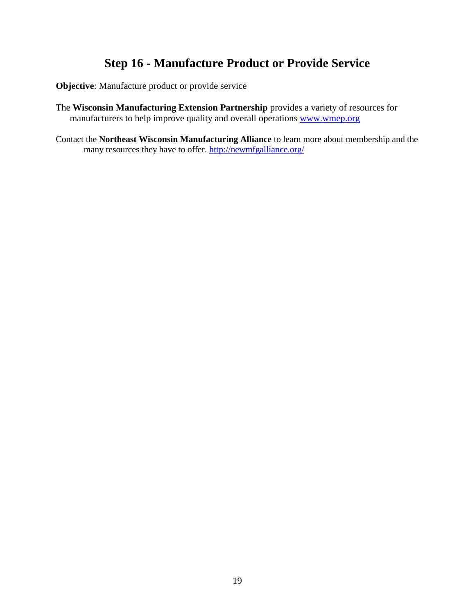## **Step 16 - Manufacture Product or Provide Service**

**Objective**: Manufacture product or provide service

- The **Wisconsin Manufacturing Extension Partnership** provides a variety of resources for manufacturers to help improve quality and overall operations [www.wmep.org](http://www.wmep.org/)
- Contact the **Northeast Wisconsin Manufacturing Alliance** to learn more about membership and the many resources they have to offer.<http://newmfgalliance.org/>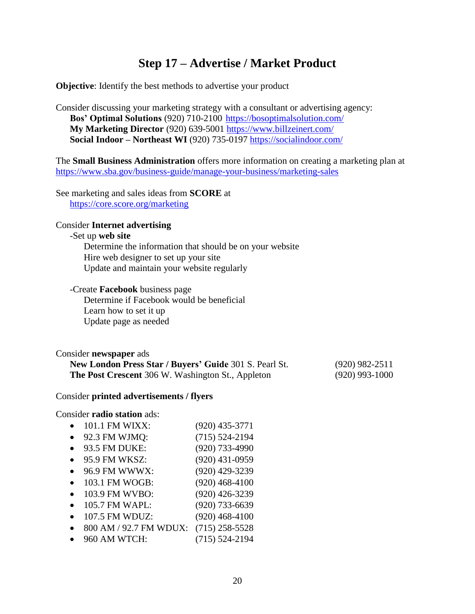## **Step 17 – Advertise / Market Product**

**Objective**: Identify the best methods to advertise your product

Consider discussing your marketing strategy with a consultant or advertising agency: **Bos' Optimal Solutions** (920) 710-2100 <https://bosoptimalsolution.com/> **My Marketing Director** (920) 639-5001<https://www.billzeinert.com/> **Social Indoor – Northeast WI** (920) 735-0197<https://socialindoor.com/>

The **Small Business Administration** offers more information on creating a marketing plan at <https://www.sba.gov/business-guide/manage-your-business/marketing-sales>

See marketing and sales ideas from **SCORE** at <https://core.score.org/marketing>

#### Consider **Internet advertising**

#### -Set up **web site**

Determine the information that should be on your website Hire web designer to set up your site Update and maintain your website regularly

#### -Create **Facebook** business page

Determine if Facebook would be beneficial Learn how to set it up Update page as needed

#### Consider **newspaper** ads

| <b>New London Press Star / Buyers' Guide 301 S. Pearl St.</b> | (920) 982-2511   |
|---------------------------------------------------------------|------------------|
| <b>The Post Crescent</b> 306 W. Washington St., Appleton      | $(920)$ 993-1000 |

#### Consider **printed advertisements / flyers**

#### Consider **radio station** ads:

- 101.1 FM WIXX: (920) 435-3771
- 92.3 FM WJMQ: (715) 524-2194
- 93.5 FM DUKE: (920) 733-4990
- 95.9 FM WKSZ: (920) 431-0959
- 96.9 FM WWWX: (920) 429-3239
- 103.1 FM WOGB: (920) 468-4100
- 103.9 FM WVBO: (920) 426-3239
- 105.7 FM WAPL: (920) 733-6639
- 107.5 FM WDUZ: (920) 468-4100
- 800 AM / 92.7 FM WDUX: (715) 258-5528
- 960 AM WTCH: (715) 524-2194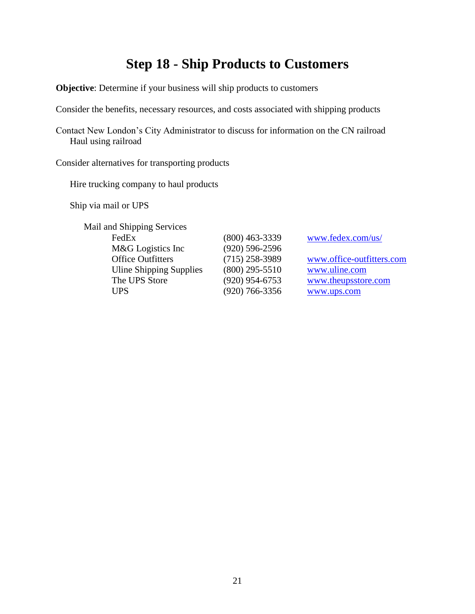## **Step 18 - Ship Products to Customers**

**Objective**: Determine if your business will ship products to customers

Consider the benefits, necessary resources, and costs associated with shipping products

Contact New London's City Administrator to discuss for information on the CN railroad Haul using railroad

Consider alternatives for transporting products

Hire trucking company to haul products

Ship via mail or UPS

Mail and Shipping Services FedEx (800) 463-3339 [www.fedex.com/us/](http://www.fedex.com/us/) M&G Logistics Inc (920) 596-2596 Uline Shipping Supplies (800) 295-5510 [www.uline.com](http://www.uline.com/) The UPS Store (920) 954-6753 [www.theupsstore.com](http://www.theupsstore.com/) UPS (920) 766-3356 [www.ups.com](http://www.ups.com/)

Office Outfitters (715) 258-3989 [www.office-outfitters.com](http://www.office-outfitters.com/)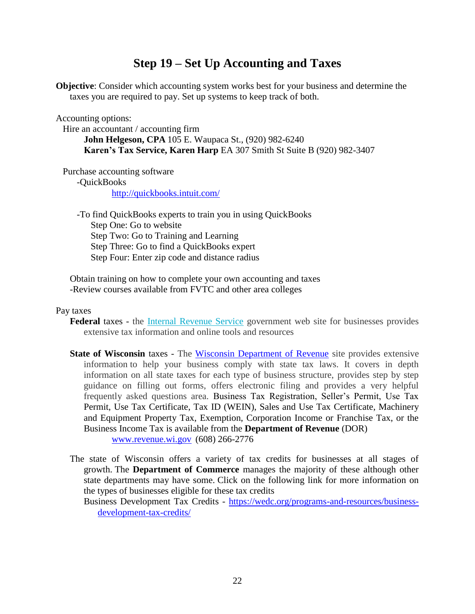## **Step 19 – Set Up Accounting and Taxes**

**Objective**: Consider which accounting system works best for your business and determine the taxes you are required to pay. Set up systems to keep track of both.

Accounting options:

Hire an accountant / accounting firm

**John Helgeson, CPA** 105 E. Waupaca St., (920) 982-6240 **Karen's Tax Service, Karen Harp** EA 307 Smith St Suite B (920) 982-3407

Purchase accounting software

-QuickBooks

<http://quickbooks.intuit.com/>

-To find QuickBooks experts to train you in using QuickBooks Step One: Go to website Step Two: Go to Training and Learning Step Three: Go to find a QuickBooks expert Step Four: Enter zip code and distance radius

Obtain training on how to complete your own accounting and taxes -Review courses available from FVTC and other area colleges

#### Pay taxes

**Federal** taxes - the [Internal Revenue Service](https://www.irs.gov/) government web site for businesses provides extensive tax information and online tools and resources

**State of Wisconsin** taxes - The [Wisconsin Department of Revenue](https://www.revenue.wi.gov/Pages/home.aspx) site provides extensive information to help your business comply with state tax laws. It covers in depth information on all state taxes for each type of business structure, provides step by step guidance on filling out forms, offers electronic filing and provides a very helpful frequently asked questions area. Business Tax Registration, Seller's Permit, Use Tax Permit, Use Tax Certificate, Tax ID (WEIN), Sales and Use Tax Certificate, Machinery and Equipment Property Tax, Exemption, Corporation Income or Franchise Tax, or the Business Income Tax is available from the **Department of Revenue** (DOR)

[www.revenue.wi.gov](http://www.revenue.wi.gov/) (608) 266-2776

The state of Wisconsin offers a variety of tax credits for businesses at all stages of growth. The **Department of Commerce** manages the majority of these although other state departments may have some. Click on the following link for more information on the types of businesses eligible for these tax credits

Business Development Tax Credits - [https://wedc.org/programs-and-resources/business](https://wedc.org/programs-and-resources/business-development-tax-credits/)[development-tax-credits/](https://wedc.org/programs-and-resources/business-development-tax-credits/)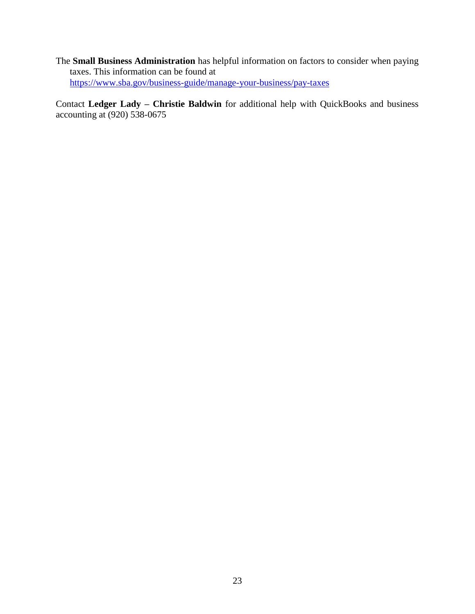The **Small Business Administration** has helpful information on factors to consider when paying taxes. This information can be found at <https://www.sba.gov/business-guide/manage-your-business/pay-taxes>

Contact **Ledger Lady – Christie Baldwin** for additional help with QuickBooks and business accounting at (920) 538-0675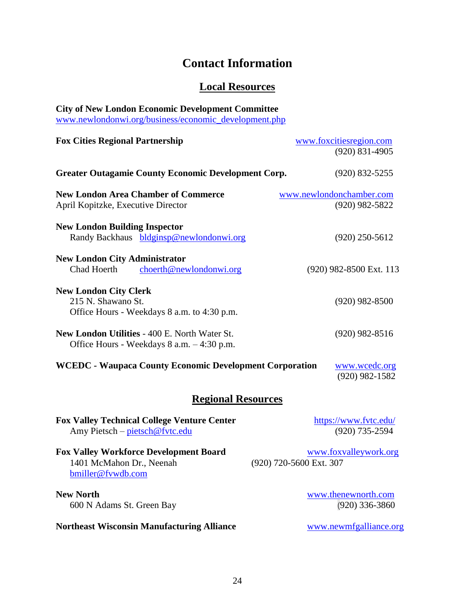## **Contact Information**

## **Local Resources**

| <b>City of New London Economic Development Committee</b><br>www.newlondonwi.org/business/economic_development.php |                                                  |  |  |  |
|-------------------------------------------------------------------------------------------------------------------|--------------------------------------------------|--|--|--|
| <b>Fox Cities Regional Partnership</b>                                                                            | www.foxcitiesregion.com<br>$(920)$ 831-4905      |  |  |  |
| <b>Greater Outagamie County Economic Development Corp.</b>                                                        | $(920)$ 832-5255                                 |  |  |  |
| <b>New London Area Chamber of Commerce</b><br>April Kopitzke, Executive Director                                  | www.newlondonchamber.com<br>$(920)$ 982-5822     |  |  |  |
| <b>New London Building Inspector</b><br>Randy Backhaus bldginsp@newlondonwi.org                                   | $(920)$ 250-5612                                 |  |  |  |
| <b>New London City Administrator</b><br>Chad Hoerth<br>choerth@newlondonwi.org                                    | (920) 982-8500 Ext. 113                          |  |  |  |
| <b>New London City Clerk</b><br>215 N. Shawano St.<br>Office Hours - Weekdays 8 a.m. to 4:30 p.m.                 | $(920)$ 982-8500                                 |  |  |  |
| <b>New London Utilities - 400 E. North Water St.</b><br>Office Hours - Weekdays 8 a.m. - 4:30 p.m.                | $(920)$ 982-8516                                 |  |  |  |
| <b>WCEDC - Waupaca County Economic Development Corporation</b>                                                    | www.wcedc.org<br>$(920)$ 982-1582                |  |  |  |
| <b>Regional Resources</b>                                                                                         |                                                  |  |  |  |
| <b>Fox Valley Technical College Venture Center</b><br>Amy Pietsch - pietsch@fvtc.edu                              | https://www.fvtc.edu/<br>$(920)$ 735-2594        |  |  |  |
| <b>Fox Valley Workforce Development Board</b><br>1401 McMahon Dr., Neenah<br>bmiller@fvwdb.com                    | www.foxvalleywork.org<br>(920) 720-5600 Ext. 307 |  |  |  |
| <b>New North</b><br>600 N Adams St. Green Bay                                                                     | www.thenewnorth.com<br>$(920)$ 336-3860          |  |  |  |
| <b>Northeast Wisconsin Manufacturing Alliance</b>                                                                 | www.newmfgalliance.org                           |  |  |  |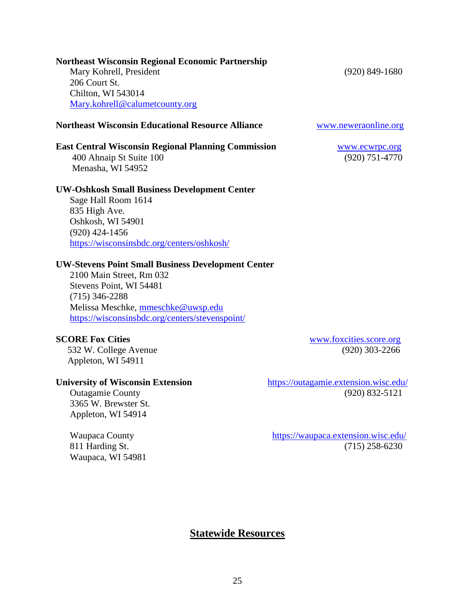25

**Statewide Resources**

#### **Northeast Wisconsin Regional Economic Partnership Mary Kohrell, President** (920) 849-1680 206 Court St. Chilton, WI 543014

[Mary.kohrell@calumetcounty.org](mailto:Mary.kohrell@calumetcounty.org)

## **Northeast Wisconsin Educational Resource Alliance [www.neweraonline.org](http://www.neweraonline.org/)**

## **East Central Wisconsin Regional Planning Commission** [www.ecwrpc.org](http://www.ecwrpc.org/)

400 Ahnaip St Suite 100 (920) 751-4770 Menasha, WI 54952

### **UW-Oshkosh Small Business Development Center**

Sage Hall Room 1614 835 High Ave. Oshkosh, WI 54901 (920) 424-1456 <https://wisconsinsbdc.org/centers/oshkosh/>

#### **UW-Stevens Point Small Business Development Center**

2100 Main Street, Rm 032 Stevens Point, WI 54481 (715) 346-2288 Melissa Meschke, [mmeschke@uwsp.edu](mailto:mmeschke@uwsp.edu) <https://wisconsinsbdc.org/centers/stevenspoint/>

532 W. College Avenue(920) 303-2266 Appleton, WI 54911

 3365 W. Brewster St. Appleton, WI 54914

Waupaca, WI 54981

**SCORE Fox Cities** [www.foxcities.score.org](http://www.foxcities.score.org/)

**University of Wisconsin Extension** <https://outagamie.extension.wisc.edu/> **Outagamie County** (920) 832-5121

 Waupaca County <https://waupaca.extension.wisc.edu/> 811 Harding St. (715) 258-6230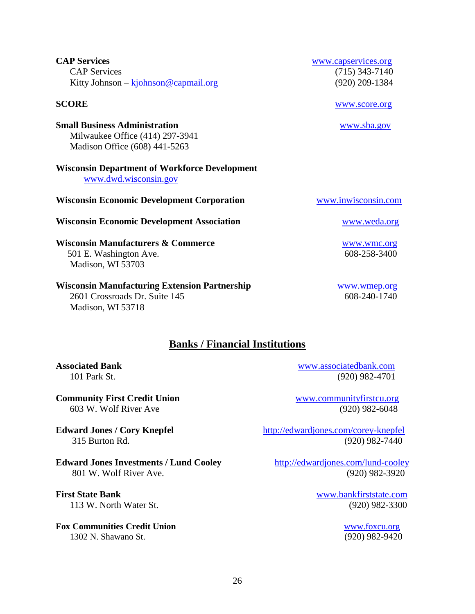| <b>Edward Jones / Cory Knepfel</b>            | http://edwardjones.com/corey-knepfel |
|-----------------------------------------------|--------------------------------------|
| 315 Burton Rd.                                | $(920)$ 982-7440                     |
| <b>Edward Jones Investments / Lund Cooley</b> | http://edwardjones.com/lund-cooley   |
| 801 W. Wolf River Ave.                        | $(920)$ 982-3920                     |
| <b>First State Bank</b>                       | www.bankfirststate.com               |
| 113 W. North Water St.                        | $(920)$ 982-3300                     |
| <b>Fox Communities Credit Union</b>           | www.foxcu.org                        |

**Banks / Financial Institutions**

1302 N. Shawano St. (920) 982-9420

# **Associated Bank** [www.associatedbank.com](http://www.associatedbank.com/)

**Community First Credit Union** [www.communityfirstcu.org](http://www.communityfirstcu.org/) 603 W. Wolf River Ave(920) 982-6048

101 Park St. (920) 982-4701

**Wisconsin Manufacturers & Commerce** [www.wmc.org](http://www.wmc.org/) 501 E. Washington Ave. 608-258-3400 Madison, WI 53703

### **Wisconsin Manufacturing Extension Partnership** Wisconsin Wanufacturing Extension Partnership

 2601 Crossroads Dr. Suite 145 608-240-1740 Madison, WI 53718

## **Wisconsin Economic Development Association** [www.weda.org](http://www.weda.org/)

**Wisconsin Economic Development Corporation [www.inwisconsin.com](http://www.inwisconsin.com/)** 

[www.dwd.wisconsin.gov](https://dwd.wisconsin.gov/)

**Wisconsin Department of Workforce Development**

**Small Business Administration [www.sba.gov](http://www.sba.gov/)**  Milwaukee Office (414) 297-3941 Madison Office (608) 441-5263

**CAP Services** [www.capservices.org](http://www.capservices.org/) CAP Services (715) 343-7140 Kitty Johnson – kjohnson @capmail.org (920) 209-1384

### **SCORE** [www.score.org](http://www.score.org/)

26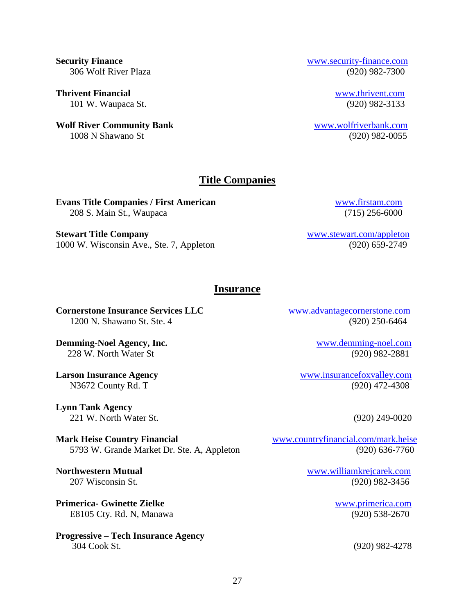**Thrivent Financial** [www.thrivent.com](http://www.thrivent.com/) 101 W. Waupaca St. (920) 982-3133

**Wolf River Community Bank** [www.wolfriverbank.com](http://www.wolfriverbank.com/) 1008 N Shawano St (920) 982-0055

#### **Security Finance** [www.security-finance.com](http://www.security-finance.com/) 306 Wolf River Plaza (920) 982-7300

#### **Title Companies**

**Evans Title Companies / First American** [www.firstam.com](http://www.firstam.com/) 208 S. Main St., Waupaca (715) 256-6000

**Stewart Title Company** [www.stewart.com/appleton](https://www.stewart.com/appleton) 1000 W. Wisconsin Ave., Ste. 7, Appleton (920) 659-2749

#### **Insurance**

**Cornerstone Insurance Services LLC** [www.advantagecornerstone.com](http://www.advantagecornerstone.com/) 1200 N. Shawano St. Ste. 4 (920) 250-6464

**Demming-Noel Agency, Inc.** The mass of the community [www.demming-noel.com](http://www.demming-noel.com/)munity www.dem. 228 W. North Water St (920) 982-2881

**Lynn Tank Agency** 221 W. North Water St. (920) 249-0020

**Mark Heise Country Financial** [www.countryfinancial.com/mark.heise](file://///SERVER/DATA/Economic%20Development/Committee/Business%20Guide/www.countryfinancial.com/mark.heise) 5793 W. Grande Market Dr. Ste. A, Appleton (920) 636-7760

**Primerica- Gwinette Zielke** [www.primerica.com](http://www.primerica.com/) E8105 Cty. Rd. N, Manawa (920) 538-2670

**Progressive – Tech Insurance Agency** 304 Cook St. (920) 982-4278

**Larson Insurance Agency** [www.insurancefoxvalley.com](http://www.insurancefoxvalley.com/) N3672 County Rd. T (920) 472-4308

**Northwestern Mutual** [www.williamkrejcarek.com](http://www.williamkrejcarek.com/) 207 Wisconsin St. (920) 982-3456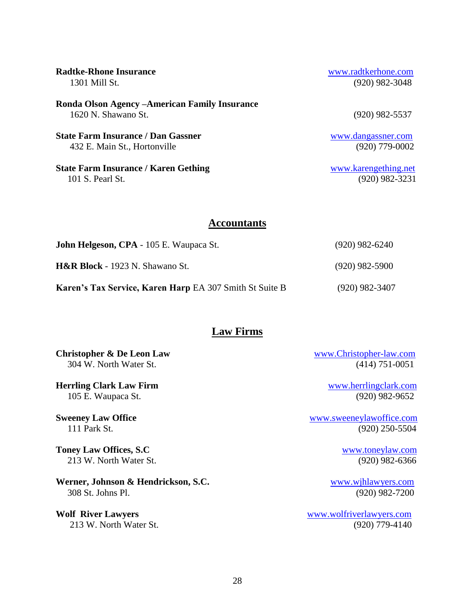| <b>Radtke-Rhone Insurance</b>                                         | www.radtkerhone.com  |
|-----------------------------------------------------------------------|----------------------|
| 1301 Mill St.                                                         | $(920)$ 982-3048     |
| Ronda Olson Agency – American Family Insurance<br>1620 N. Shawano St. | $(920)$ 982-5537     |
| <b>State Farm Insurance / Dan Gassner</b>                             | www.dangassner.com   |
| 432 E. Main St., Hortonville                                          | $(920)$ 779-0002     |
| <b>State Farm Insurance / Karen Gething</b>                           | www.karengething.net |
| 101 S. Pearl St.                                                      | (920) 982-3231       |

#### **Accountants**

| John Helgeson, CPA - 105 E. Waupaca St.                        | $(920)$ 982-6240 |
|----------------------------------------------------------------|------------------|
| <b>H&amp;R Block</b> - 1923 N. Shawano St.                     | $(920)$ 982-5900 |
| <b>Karen's Tax Service, Karen Harp EA 307 Smith St Suite B</b> | $(920)$ 982-3407 |

### **Law Firms**

**Christopher & De Leon Law** [www.Christopher-law.com](http://www.christopher-law.com/)

**Herrling Clark Law Firm** WWW.herrlingclark.com 105 E. Waupaca St. (920) 982-9652

**Toney Law Offices, S.C** [www.toneylaw.com](http://www.toneylaw.com/) 213 W. North Water St. (920) 982-6366

**Werner, Johnson & Hendrickson, S.C.** [www.wjhlawyers.com](http://www.wjhlawyers.com/) 308 St. Johns Pl.(920) 982-7200

304 W. North Water St. (414) 751-0051

**Sweeney Law Office** [www.sweeneylawoffice.com](http://www.sweeneylawoffice.com/) 111 Park St. (920) 250-5504

**Wolf River Lawyers** [www.wolfriverlawyers.com](http://www.wolfriverlawyers.com/) 213 W. North Water St. (920) 779-4140